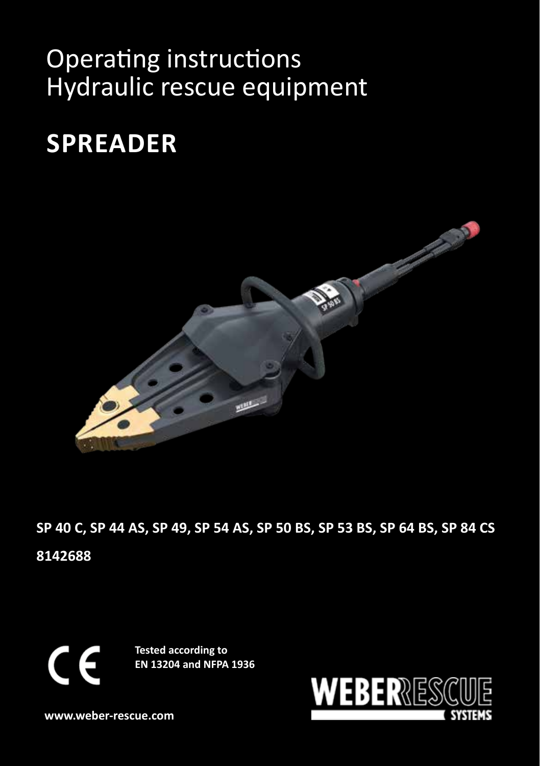# Operating instructions Hydraulic rescue equipment

# **SPREADER**



**SP 40 C, SP 44 AS, SP 49, SP 54 AS, SP 50 BS, SP 53 BS, SP 64 BS, SP 84 CS 8142688**

 $\epsilon$ 

**Tested according to EN 13204 and NFPA 1936**



**www.weber-rescue.com**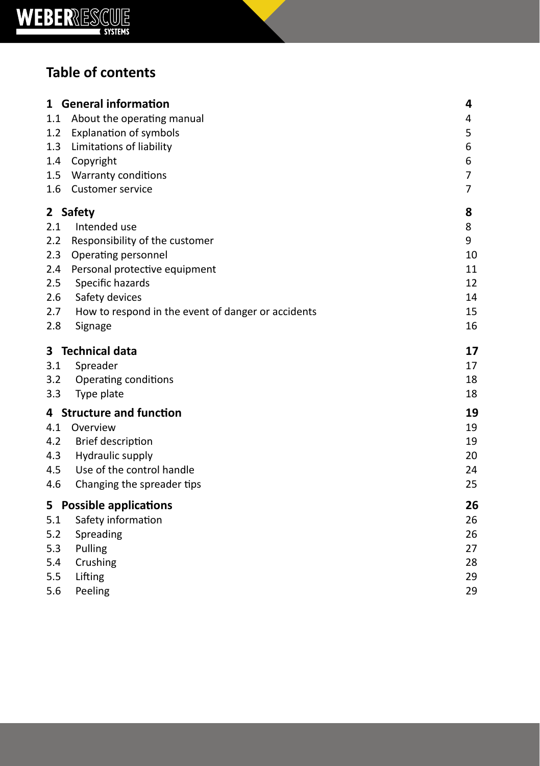

# **Table of contents**

| 1.1<br>1.2<br>1.3<br>1.4<br>1.5<br>1.6               | 1 General information<br>About the operating manual<br><b>Explanation of symbols</b><br>Limitations of liability<br>Copyright<br>Warranty conditions<br><b>Customer service</b>                                           | 4<br>4<br>5<br>6<br>6<br>7<br>7                 |
|------------------------------------------------------|---------------------------------------------------------------------------------------------------------------------------------------------------------------------------------------------------------------------------|-------------------------------------------------|
| 2.1<br>2.2<br>2.3<br>2.4<br>2.5<br>2.6<br>2.7<br>2.8 | 2 Safety<br>Intended use<br>Responsibility of the customer<br>Operating personnel<br>Personal protective equipment<br>Specific hazards<br>Safety devices<br>How to respond in the event of danger or accidents<br>Signage | 8<br>8<br>9<br>10<br>11<br>12<br>14<br>15<br>16 |
| 3<br>3.1<br>3.2<br>3.3                               | <b>Technical data</b><br>Spreader<br>Operating conditions<br>Type plate                                                                                                                                                   | 17<br>17<br>18<br>18                            |
| 4.1<br>4.2<br>4.3<br>4.5<br>4.6                      | 4 Structure and function<br>Overview<br><b>Brief description</b><br>Hydraulic supply<br>Use of the control handle<br>Changing the spreader tips                                                                           | 19<br>19<br>19<br>20<br>24<br>25                |
| 5.1<br>5.2<br>5.3<br>5.4<br>5.5<br>5.6               | 5 Possible applications<br>Safety information<br>Spreading<br>Pulling<br>Crushing<br>Lifting<br>Peeling                                                                                                                   | 26<br>26<br>26<br>27<br>28<br>29<br>29          |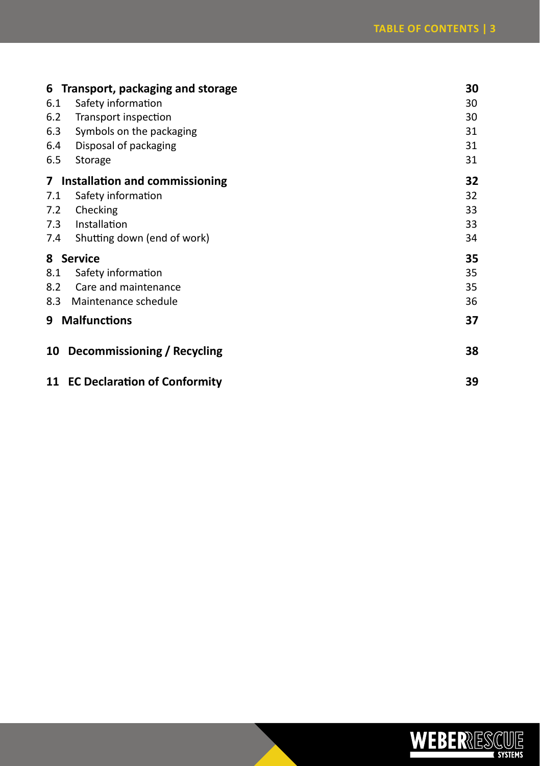|                | 6 Transport, packaging and storage | 30 |
|----------------|------------------------------------|----|
| 6.1            | Safety information                 | 30 |
| 6.2            | Transport inspection               | 30 |
| 6.3            | Symbols on the packaging           | 31 |
| 6.4            | Disposal of packaging              | 31 |
| 6.5            | Storage                            | 31 |
| 7 <sup>7</sup> | Installation and commissioning     | 32 |
| 7.1            | Safety information                 | 32 |
| 7.2            | Checking                           | 33 |
| 7.3            | Installation                       | 33 |
| 7.4            | Shutting down (end of work)        | 34 |
|                | 8 Service                          | 35 |
| 8.1            | Safety information                 | 35 |
| 8.2            | Care and maintenance               | 35 |
| 8.3            | Maintenance schedule               | 36 |
| 9 Malfunctions |                                    |    |
| 10             | Decommissioning / Recycling        | 38 |
|                | 11 EC Declaration of Conformity    | 39 |

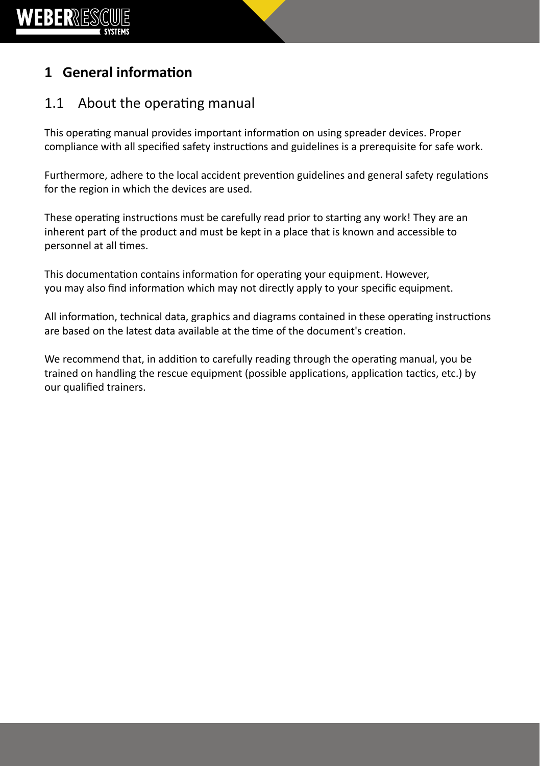

# **1 General information**

### 1.1 About the operating manual

This operating manual provides important information on using spreader devices. Proper compliance with all specified safety instructions and guidelines is a prerequisite for safe work.

Furthermore, adhere to the local accident prevention guidelines and general safety regulations for the region in which the devices are used.

These operating instructions must be carefully read prior to starting any work! They are an inherent part of the product and must be kept in a place that is known and accessible to personnel at all times.

This documentation contains information for operating your equipment. However, you may also find information which may not directly apply to your specific equipment.

All information, technical data, graphics and diagrams contained in these operating instructions are based on the latest data available at the time of the document's creation.

We recommend that, in addition to carefully reading through the operating manual, you be trained on handling the rescue equipment (possible applications, application tactics, etc.) by our qualified trainers.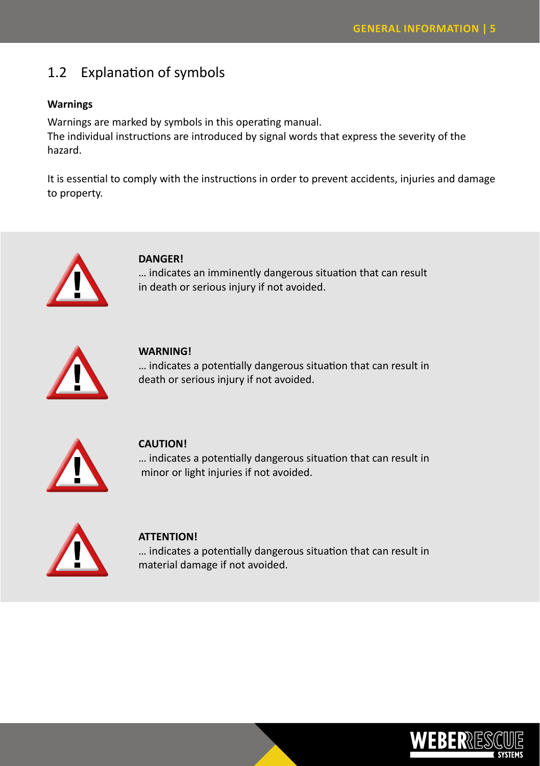### 1.2 Explanation of symbols

#### **Warnings**

Warnings are marked by symbols in this operating manual. The individual instructions are introduced by signal words that express the severity of the hazard.

It is essential to comply with the instructions in order to prevent accidents, injuries and damage to property.



#### **DANGER!**

… indicates an imminently dangerous situation that can result in death or serious injury if not avoided.



**WARNING!**

… indicates a potentially dangerous situation that can result in death or serious injury if not avoided.



#### **CAUTION!**

… indicates a potentially dangerous situation that can result in minor or light injuries if not avoided.



#### **ATTENTION!**

… indicates a potentially dangerous situation that can result in material damage if not avoided.

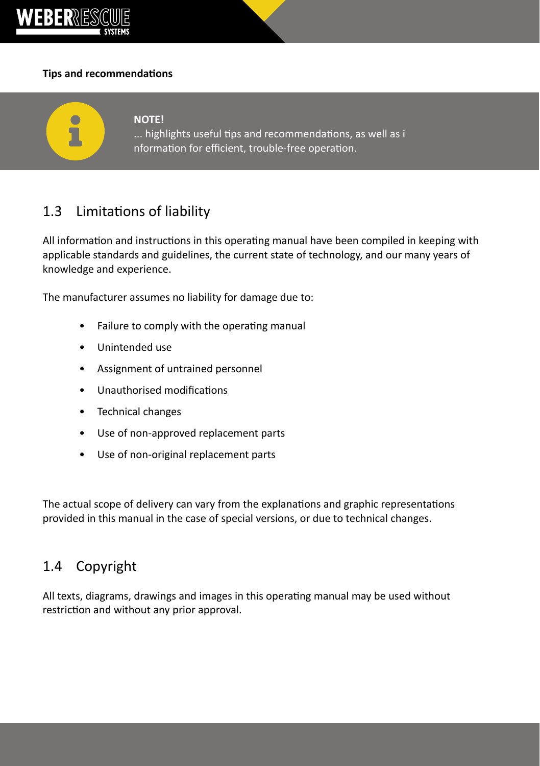

 $\bullet$ 

#### **Tips and recommendations**



... highlights useful tips and recommendations, as well as i nformation for efficient, trouble-free operation.

### 1.3 Limitations of liability

All information and instructions in this operating manual have been compiled in keeping with applicable standards and guidelines, the current state of technology, and our many years of knowledge and experience.

The manufacturer assumes no liability for damage due to:

- Failure to comply with the operating manual
- Unintended use
- Assignment of untrained personnel
- Unauthorised modifications
- Technical changes
- Use of non-approved replacement parts
- Use of non-original replacement parts

The actual scope of delivery can vary from the explanations and graphic representations provided in this manual in the case of special versions, or due to technical changes.

### 1.4 Copyright

All texts, diagrams, drawings and images in this operating manual may be used without restriction and without any prior approval.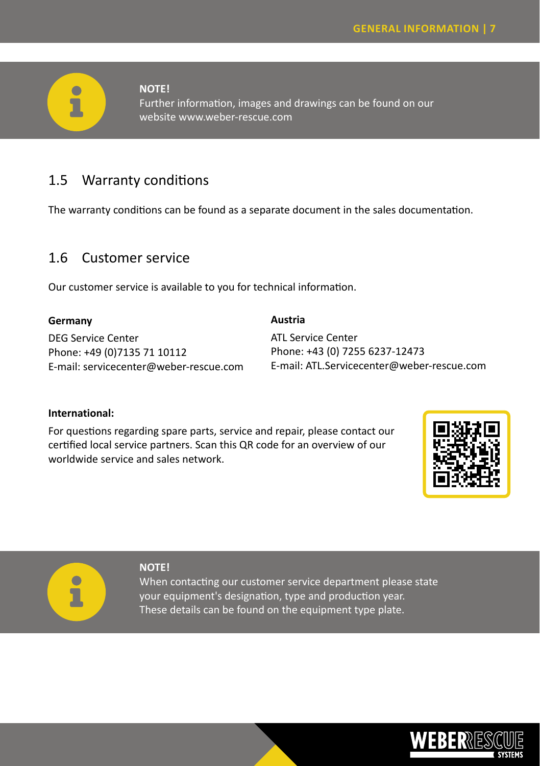

#### **NOTE!**

Further information, images and drawings can be found on our website www.weber-rescue.com

### 1.5 Warranty conditions

The warranty conditions can be found as a separate document in the sales documentation.

### 1.6 Customer service

Our customer service is available to you for technical information.

#### **Germany**

DEG Service Center Phone: +49 (0)7135 71 10112 E-mail: servicecenter@weber-rescue.com

#### **Austria**

ATL Service Center Phone: +43 (0) 7255 6237-12473 E-mail: ATL.Servicecenter@weber-rescue.com

#### **International:**

For questions regarding spare parts, service and repair, please contact our certified local service partners. Scan this QR code for an overview of our worldwide service and sales network.





#### **NOTE!**

When contacting our customer service department please state your equipment's designation, type and production year. These details can be found on the equipment type plate.

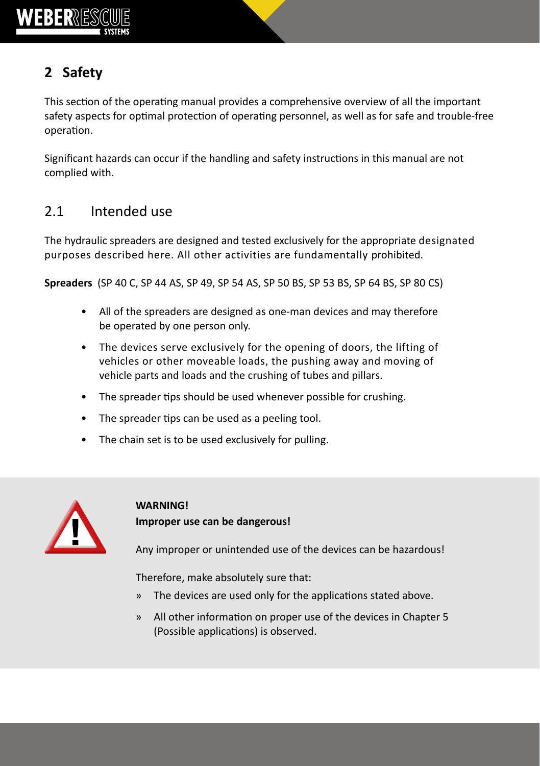

# **2 Safety**

This section of the operating manual provides a comprehensive overview of all the important safety aspects for optimal protection of operating personnel, as well as for safe and trouble-free operation.

Significant hazards can occur if the handling and safety instructions in this manual are not complied with.

# 2.1 Intended use

The hydraulic spreaders are designed and tested exclusively for the appropriate designated purposes described here. All other activities are fundamentally prohibited.

**Spreaders** (SP 40 C, SP 44 AS, SP 49, SP 54 AS, SP 50 BS, SP 53 BS, SP 64 BS, SP 80 CS)

- All of the spreaders are designed as one-man devices and may therefore be operated by one person only.
- The devices serve exclusively for the opening of doors, the lifting of vehicles or other moveable loads, the pushing away and moving of vehicle parts and loads and the crushing of tubes and pillars.
- The spreader tips should be used whenever possible for crushing.
- The spreader tips can be used as a peeling tool.
- The chain set is to be used exclusively for pulling.



### **WARNING! Improper use can be dangerous!**

Any improper or unintended use of the devices can be hazardous!

Therefore, make absolutely sure that:

- » The devices are used only for the applications stated above.
- » All other information on proper use of the devices in Chapter 5 (Possible applications) is observed.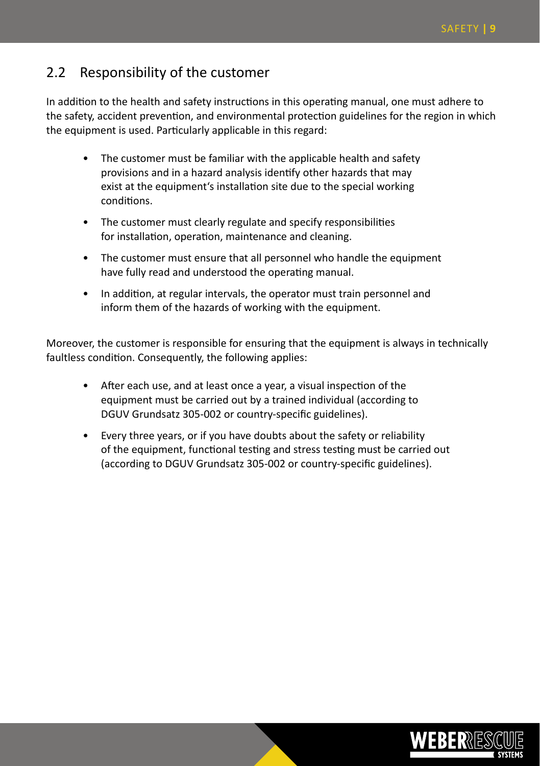### 2.2 Responsibility of the customer

In addition to the health and safety instructions in this operating manual, one must adhere to the safety, accident prevention, and environmental protection guidelines for the region in which the equipment is used. Particularly applicable in this regard:

- The customer must be familiar with the applicable health and safety provisions and in a hazard analysis identify other hazards that may exist at the equipment's installation site due to the special working conditions.
- The customer must clearly regulate and specify responsibilities for installation, operation, maintenance and cleaning.
- The customer must ensure that all personnel who handle the equipment have fully read and understood the operating manual.
- In addition, at regular intervals, the operator must train personnel and inform them of the hazards of working with the equipment.

Moreover, the customer is responsible for ensuring that the equipment is always in technically faultless condition. Consequently, the following applies:

- After each use, and at least once a year, a visual inspection of the equipment must be carried out by a trained individual (according to DGUV Grundsatz 305-002 or country-specific guidelines).
- Every three years, or if you have doubts about the safety or reliability of the equipment, functional testing and stress testing must be carried out (according to DGUV Grundsatz 305-002 or country-specific guidelines).

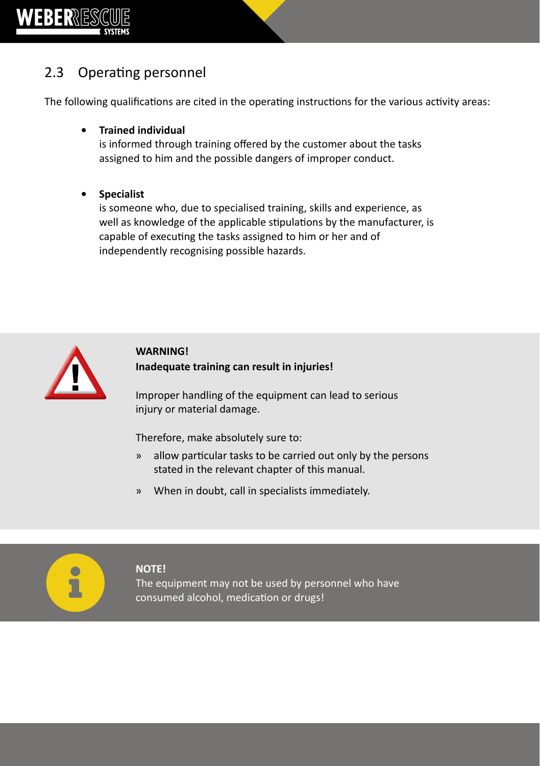

# 2.3 Operating personnel

The following qualifications are cited in the operating instructions for the various activity areas:

**• Trained individual**

is informed through training offered by the customer about the tasks assigned to him and the possible dangers of improper conduct.

**• Specialist**

is someone who, due to specialised training, skills and experience, as well as knowledge of the applicable stipulations by the manufacturer, is capable of executing the tasks assigned to him or her and of independently recognising possible hazards.



### **WARNING! Inadequate training can result in injuries!**

Improper handling of the equipment can lead to serious injury or material damage.

Therefore, make absolutely sure to:

- » allow particular tasks to be carried out only by the persons stated in the relevant chapter of this manual.
- » When in doubt, call in specialists immediately.



#### **NOTE!**

The equipment may not be used by personnel who have consumed alcohol, medication or drugs!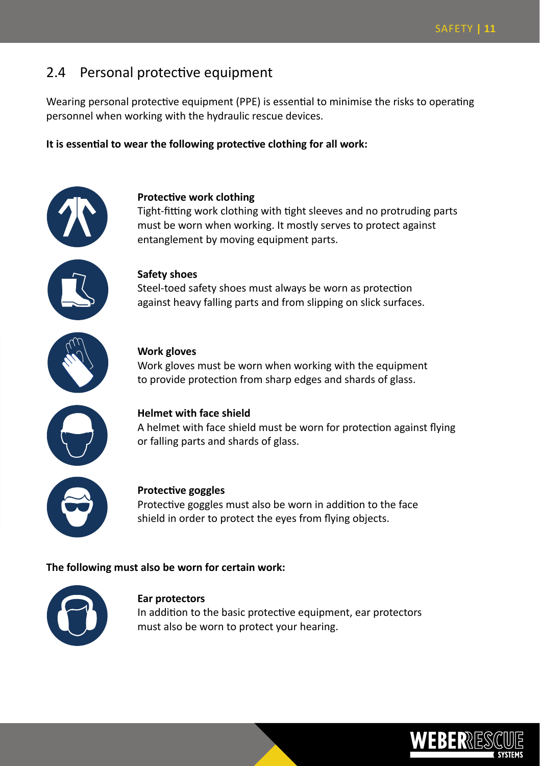### 2.4 Personal protective equipment

Wearing personal protective equipment (PPE) is essential to minimise the risks to operating personnel when working with the hydraulic rescue devices.

**It is essential to wear the following protective clothing for all work:**



#### **Protective work clothing**

Tight-fitting work clothing with tight sleeves and no protruding parts must be worn when working. It mostly serves to protect against entanglement by moving equipment parts.



#### **Safety shoes**

Steel-toed safety shoes must always be worn as protection against heavy falling parts and from slipping on slick surfaces.



#### **Work gloves**

Work gloves must be worn when working with the equipment to provide protection from sharp edges and shards of glass.



#### **Helmet with face shield**

A helmet with face shield must be worn for protection against flying or falling parts and shards of glass.



#### **Protective goggles**

Protective goggles must also be worn in addition to the face shield in order to protect the eyes from flying objects.

#### **The following must also be worn for certain work:**



#### **Ear protectors**

In addition to the basic protective equipment, ear protectors must also be worn to protect your hearing.

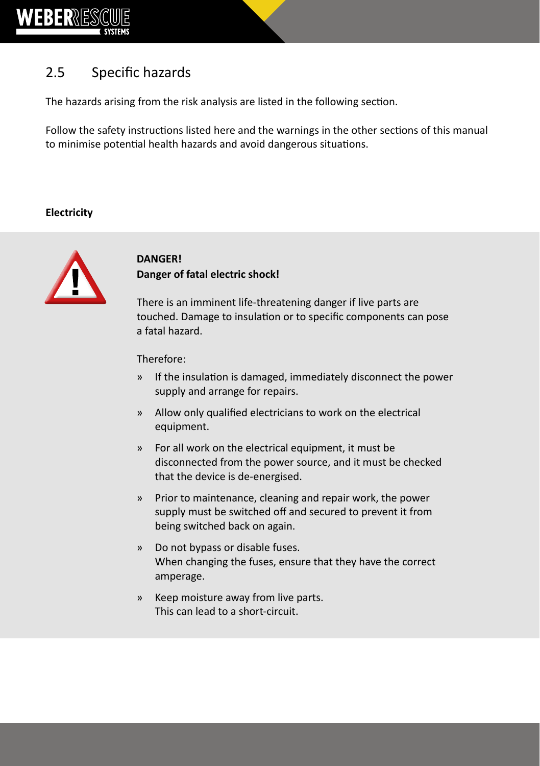

# 2.5 Specific hazards

The hazards arising from the risk analysis are listed in the following section.

Follow the safety instructions listed here and the warnings in the other sections of this manual to minimise potential health hazards and avoid dangerous situations.

**Electricity**



### **DANGER! Danger of fatal electric shock!**

There is an imminent life-threatening danger if live parts are touched. Damage to insulation or to specific components can pose a fatal hazard.

Therefore:

- » If the insulation is damaged, immediately disconnect the power supply and arrange for repairs.
- » Allow only qualified electricians to work on the electrical equipment.
- » For all work on the electrical equipment, it must be disconnected from the power source, and it must be checked that the device is de-energised.
- » Prior to maintenance, cleaning and repair work, the power supply must be switched off and secured to prevent it from being switched back on again.
- » Do not bypass or disable fuses. When changing the fuses, ensure that they have the correct amperage.
- » Keep moisture away from live parts. This can lead to a short-circuit.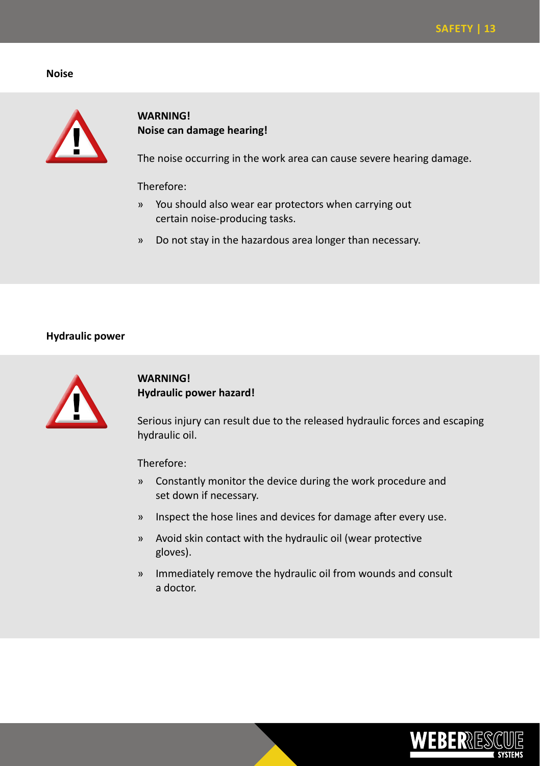#### **Noise**



#### **WARNING! Noise can damage hearing!**

The noise occurring in the work area can cause severe hearing damage.

#### Therefore:

- » You should also wear ear protectors when carrying out certain noise-producing tasks.
- » Do not stay in the hazardous area longer than necessary.

#### **Hydraulic power**



#### **WARNING! Hydraulic power hazard!**

Serious injury can result due to the released hydraulic forces and escaping hydraulic oil.

Therefore:

- » Constantly monitor the device during the work procedure and set down if necessary.
- » Inspect the hose lines and devices for damage after every use.
- » Avoid skin contact with the hydraulic oil (wear protective gloves).
- » Immediately remove the hydraulic oil from wounds and consult a doctor.

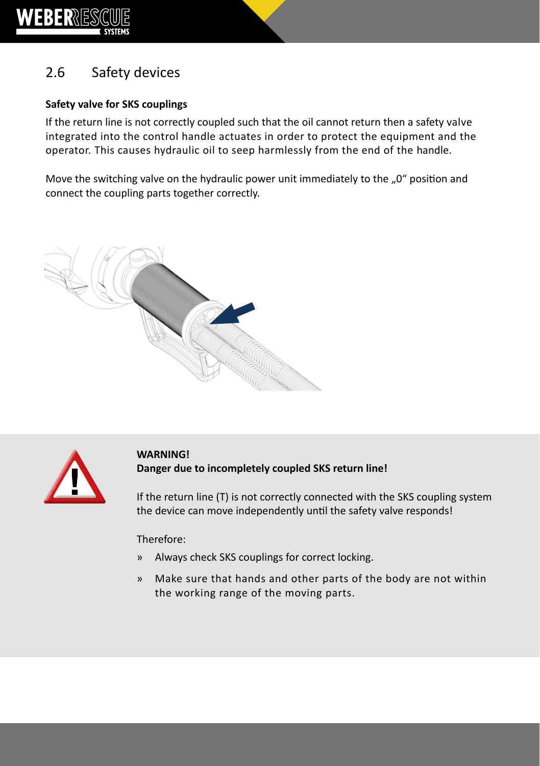

# 2.6 Safety devices

#### **Safety valve for SKS couplings**

If the return line is not correctly coupled such that the oil cannot return then a safety valve integrated into the control handle actuates in order to protect the equipment and the operator. This causes hydraulic oil to seep harmlessly from the end of the handle.

Move the switching valve on the hydraulic power unit immediately to the "0" position and connect the coupling parts together correctly.





**WARNING! Danger due to incompletely coupled SKS return line!**

If the return line (T) is not correctly connected with the SKS coupling system the device can move independently until the safety valve responds!

#### Therefore:

- » Always check SKS couplings for correct locking.
- » Make sure that hands and other parts of the body are not within the working range of the moving parts.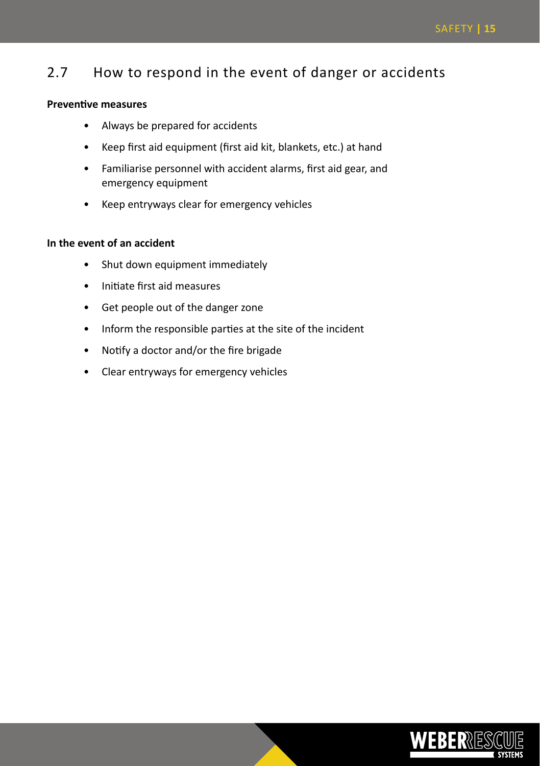### 2.7 How to respond in the event of danger or accidents

#### **Preventive measures**

- Always be prepared for accidents
- Keep first aid equipment (first aid kit, blankets, etc.) at hand
- Familiarise personnel with accident alarms, first aid gear, and emergency equipment
- Keep entryways clear for emergency vehicles

#### **In the event of an accident**

- Shut down equipment immediately
- Initiate first aid measures
- Get people out of the danger zone
- Inform the responsible parties at the site of the incident
- Notify a doctor and/or the fire brigade
- Clear entryways for emergency vehicles

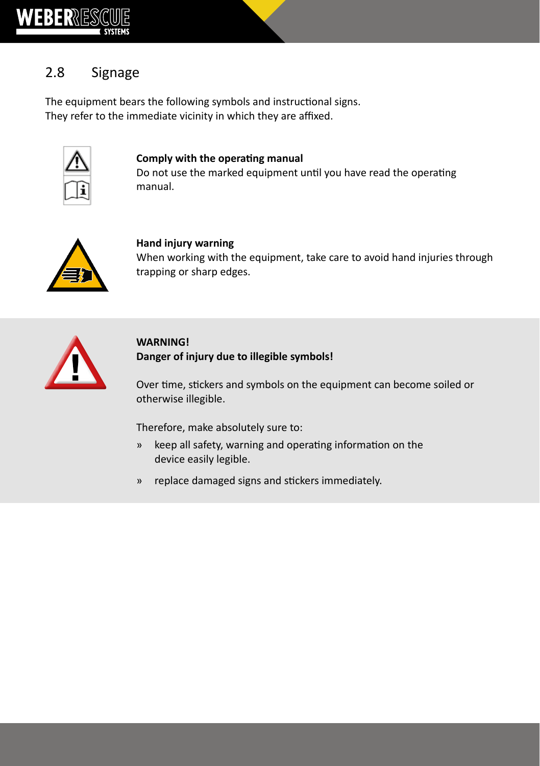

# 2.8 Signage

The equipment bears the following symbols and instructional signs. They refer to the immediate vicinity in which they are affixed.



#### **Comply with the operating manual**

Do not use the marked equipment until you have read the operating manual.



#### **Hand injury warning**

When working with the equipment, take care to avoid hand injuries through trapping or sharp edges.



#### **WARNING! Danger of injury due to illegible symbols!**

Over time, stickers and symbols on the equipment can become soiled or otherwise illegible.

Therefore, make absolutely sure to:

- » keep all safety, warning and operating information on the device easily legible.
- » replace damaged signs and stickers immediately.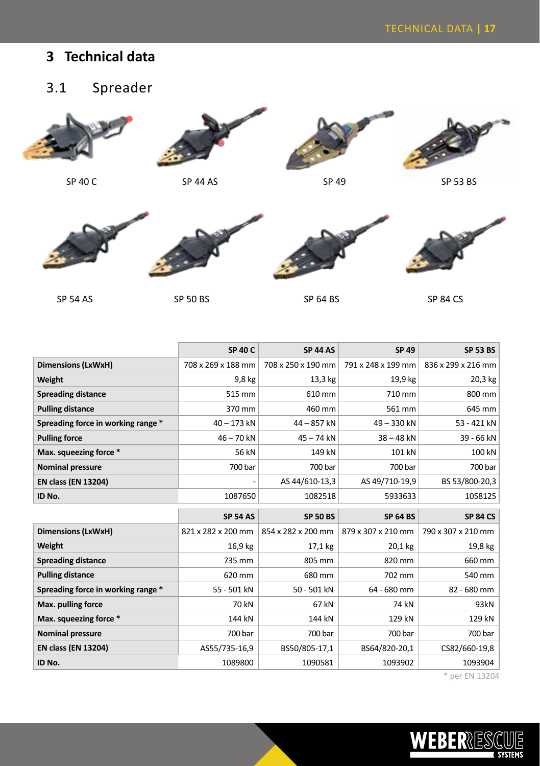# **3 Technical data**

# 3.1 Spreader





SP 40 C SP 44 AS SP 53 BS













|                                    | <b>SP 40 C</b>     | <b>SP 44 AS</b>    | SP 49              | <b>SP 53 BS</b>    |
|------------------------------------|--------------------|--------------------|--------------------|--------------------|
| Dimensions (LxWxH)                 | 708 x 269 x 188 mm | 708 x 250 x 190 mm | 791 x 248 x 199 mm | 836 x 299 x 216 mm |
| Weight                             | 9,8 kg             | 13,3 kg            | 19,9 kg            | 20,3 kg            |
| <b>Spreading distance</b>          | 515 mm             | 610 mm             | 710 mm             | 800 mm             |
| <b>Pulling distance</b>            | 370 mm             | 460 mm             | 561 mm             | 645 mm             |
| Spreading force in working range * | $40 - 173$ kN      | 44 - 857 kN        | 49-330 kN          | 53 - 421 kN        |
| <b>Pulling force</b>               | $46 - 70$ kN       | $45 - 74$ kN       | $38 - 48$ kN       | 39 - 66 kN         |
| Max. squeezing force *             | 56 kN              | 149 kN             | 101 kN             | 100 kN             |
| <b>Nominal pressure</b>            | 700 bar            | 700 bar            | 700 bar            | 700 bar            |
| <b>EN class (EN 13204)</b>         |                    | AS 44/610-13,3     | AS 49/710-19,9     | BS 53/800-20,3     |
| ID No.                             | 1087650            | 1082518            | 5933633            | 1058125            |
|                                    |                    |                    |                    |                    |
|                                    | <b>SP 54 AS</b>    | <b>SP 50 BS</b>    | <b>SP 64 BS</b>    | <b>SP 84 CS</b>    |
| Dimensions (LxWxH)                 | 821 x 282 x 200 mm | 854 x 282 x 200 mm | 879 x 307 x 210 mm | 790 x 307 x 210 mm |
| Weight                             | 16,9 kg            | 17,1 kg            | 20,1 kg            | 19,8 kg            |
| <b>Spreading distance</b>          | 735 mm             | 805 mm             | 820 mm             | 660 mm             |
| <b>Pulling distance</b>            | 620 mm             | 680 mm             | 702 mm             | 540 mm             |
| Spreading force in working range * | 55 - 501 kN        | 50 - 501 kN        | 64 - 680 mm        | 82 - 680 mm        |
| Max. pulling force                 | 70 kN              | 67 kN              | 74 kN              | 93kN               |
| Max. squeezing force *             | 144 kN             | 144 kN             | 129 kN             | 129 kN             |
| <b>Nominal pressure</b>            | 700 bar            | 700 bar            | 700 bar            | 700 bar            |
| <b>EN class (EN 13204)</b>         | AS55/735-16,9      | BS50/805-17,1      | BS64/820-20,1      | CS82/660-19,8      |

\* per EN 13204

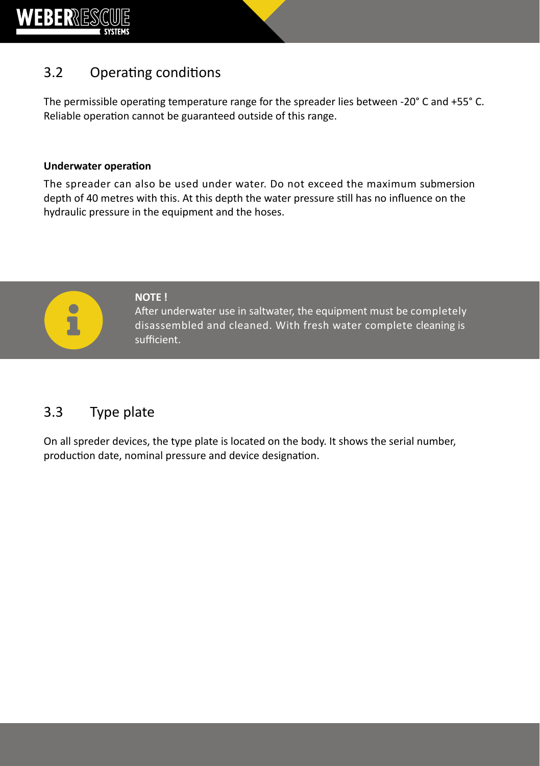

# 3.2 Operating conditions

The permissible operating temperature range for the spreader lies between -20° C and +55° C. Reliable operation cannot be guaranteed outside of this range.

#### **Underwater operation**

The spreader can also be used under water. Do not exceed the maximum submersion depth of 40 metres with this. At this depth the water pressure still has no influence on the hydraulic pressure in the equipment and the hoses.



**NOTE !**

After underwater use in saltwater, the equipment must be completely disassembled and cleaned. With fresh water complete cleaning is sufficient.

# 3.3 Type plate

On all spreder devices, the type plate is located on the body. It shows the serial number, production date, nominal pressure and device designation.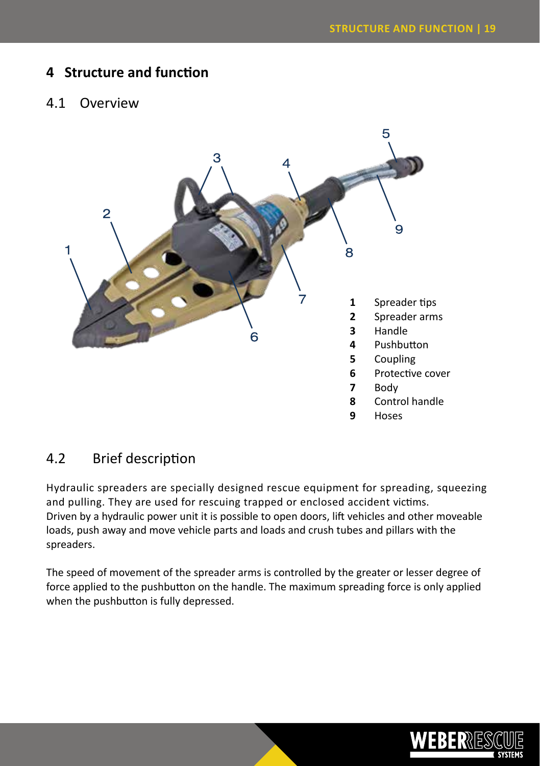### **4 Structure and function**

#### 4.1 Overview



### 4.2 Brief description

Hydraulic spreaders are specially designed rescue equipment for spreading, squeezing and pulling. They are used for rescuing trapped or enclosed accident victims. Driven by a hydraulic power unit it is possible to open doors, lift vehicles and other moveable loads, push away and move vehicle parts and loads and crush tubes and pillars with the spreaders.

The speed of movement of the spreader arms is controlled by the greater or lesser degree of force applied to the pushbutton on the handle. The maximum spreading force is only applied when the pushbutton is fully depressed.

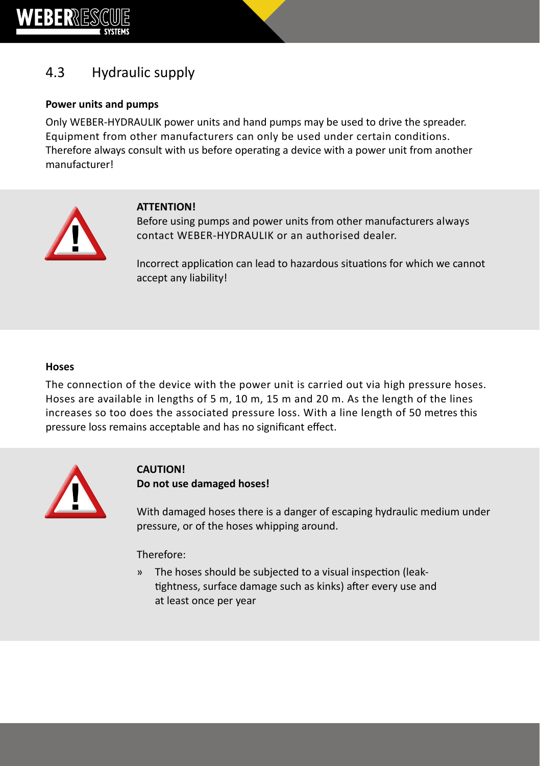

# 4.3 Hydraulic supply

#### **Power units and pumps**

Only WEBER-HYDRAULIK power units and hand pumps may be used to drive the spreader. Equipment from other manufacturers can only be used under certain conditions. Therefore always consult with us before operating a device with a power unit from another manufacturer!



#### **ATTENTION!**

Before using pumps and power units from other manufacturers always contact WEBER-HYDRAULIK or an authorised dealer.

Incorrect application can lead to hazardous situations for which we cannot accept any liability!

#### **Hoses**

The connection of the device with the power unit is carried out via high pressure hoses. Hoses are available in lengths of 5 m, 10 m, 15 m and 20 m. As the length of the lines increases so too does the associated pressure loss. With a line length of 50 metres this pressure loss remains acceptable and has no significant effect.



#### **CAUTION! Do not use damaged hoses!**

With damaged hoses there is a danger of escaping hydraulic medium under pressure, or of the hoses whipping around.

#### Therefore:

» The hoses should be subjected to a visual inspection (leaktightness, surface damage such as kinks) after every use and at least once per year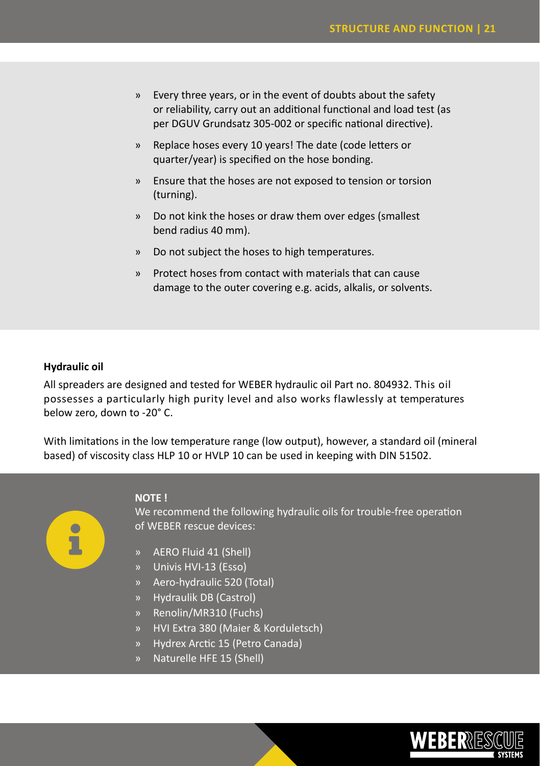- » Every three years, or in the event of doubts about the safety or reliability, carry out an additional functional and load test (as per DGUV Grundsatz 305-002 or specific national directive).
- » Replace hoses every 10 years! The date (code letters or quarter/year) is specified on the hose bonding.
- » Ensure that the hoses are not exposed to tension or torsion (turning).
- » Do not kink the hoses or draw them over edges (smallest bend radius 40 mm).
- » Do not subject the hoses to high temperatures.
- » Protect hoses from contact with materials that can cause damage to the outer covering e.g. acids, alkalis, or solvents.

#### **Hydraulic oil**

All spreaders are designed and tested for WEBER hydraulic oil Part no. 804932. This oil possesses a particularly high purity level and also works flawlessly at temperatures below zero, down to -20° C.

With limitations in the low temperature range (low output), however, a standard oil (mineral based) of viscosity class HLP 10 or HVLP 10 can be used in keeping with DIN 51502.



#### **NOTE !**

We recommend the following hydraulic oils for trouble-free operation of WEBER rescue devices:

- » AERO Fluid 41 (Shell)
- » Univis HVI-13 (Esso)
- » Aero-hydraulic 520 (Total)
- » Hydraulik DB (Castrol)
- » Renolin/MR310 (Fuchs)
- » HVI Extra 380 (Maier & Korduletsch)
- » Hydrex Arctic 15 (Petro Canada)
- » Naturelle HFE 15 (Shell)

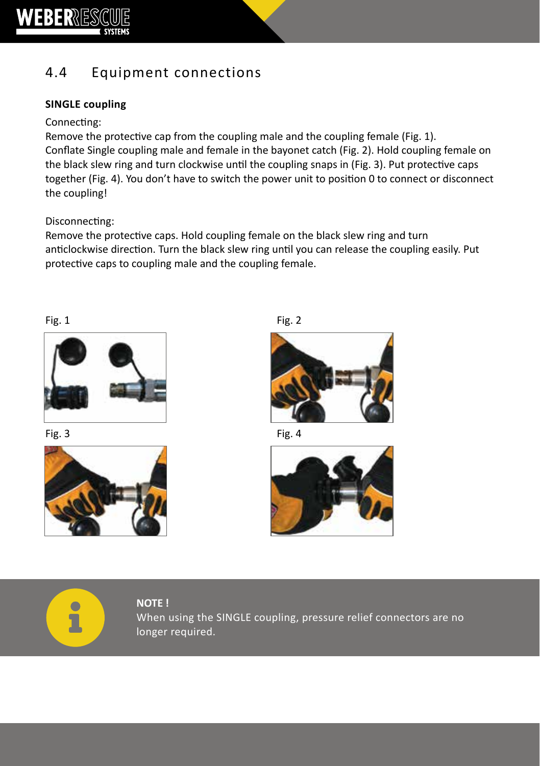

# 4.4 Equipment connections

#### **SINGLE coupling**

#### Connecting:

Remove the protective cap from the coupling male and the coupling female (Fig. 1). Conflate Single coupling male and female in the bayonet catch (Fig. 2). Hold coupling female on the black slew ring and turn clockwise until the coupling snaps in (Fig. 3). Put protective caps together (Fig. 4). You don't have to switch the power unit to position 0 to connect or disconnect the coupling!

#### Disconnecting:

Remove the protective caps. Hold coupling female on the black slew ring and turn anticlockwise direction. Turn the black slew ring until you can release the coupling easily. Put protective caps to coupling male and the coupling female.



Fig.  $3$  Fig.  $4$ 



Fig.  $1$  Fig.  $2$ 







**NOTE !** When using the SINGLE coupling, pressure relief connectors are no longer required.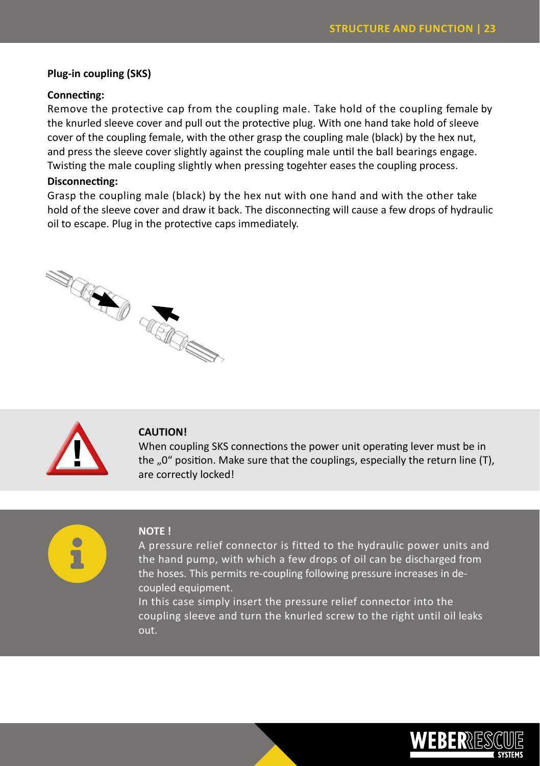#### **Plug-in coupling (SKS)**

#### **Connecting:**

Remove the protective cap from the coupling male. Take hold of the coupling female by the knurled sleeve cover and pull out the protective plug. With one hand take hold of sleeve cover of the coupling female, with the other grasp the coupling male (black) by the hex nut, and press the sleeve cover slightly against the coupling male until the ball bearings engage. Twisting the male coupling slightly when pressing togehter eases the coupling process.

#### **Disconnecting:**

Grasp the coupling male (black) by the hex nut with one hand and with the other take hold of the sleeve cover and draw it back. The disconnecting will cause a few drops of hydraulic oil to escape. Plug in the protective caps immediately.





#### **CAUTION!**

When coupling SKS connections the power unit operating lever must be in the  $.0$ " position. Make sure that the couplings, especially the return line (T), are correctly locked!



#### **NOTE !**

A pressure relief connector is fitted to the hydraulic power units and the hand pump, with which a few drops of oil can be discharged from the hoses. This permits re-coupling following pressure increases in decoupled equipment.

In this case simply insert the pressure relief connector into the coupling sleeve and turn the knurled screw to the right until oil leaks out.

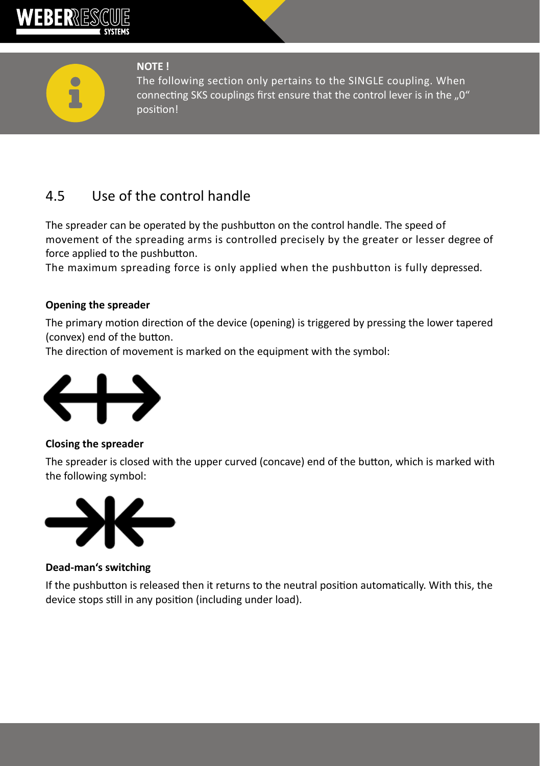

**NOTE !**

The following section only pertains to the SINGLE coupling. When connecting SKS couplings first ensure that the control lever is in the ..0" position!

# 4.5 Use of the control handle

The spreader can be operated by the pushbutton on the control handle. The speed of movement of the spreading arms is controlled precisely by the greater or lesser degree of force applied to the pushbutton.

The maximum spreading force is only applied when the pushbutton is fully depressed.

#### **Opening the spreader**

The primary motion direction of the device (opening) is triggered by pressing the lower tapered (convex) end of the button.

The direction of movement is marked on the equipment with the symbol:



**Closing the spreader**

The spreader is closed with the upper curved (concave) end of the button, which is marked with the following symbol:



#### **Dead-man's switching**

If the pushbutton is released then it returns to the neutral position automatically. With this, the device stops still in any position (including under load).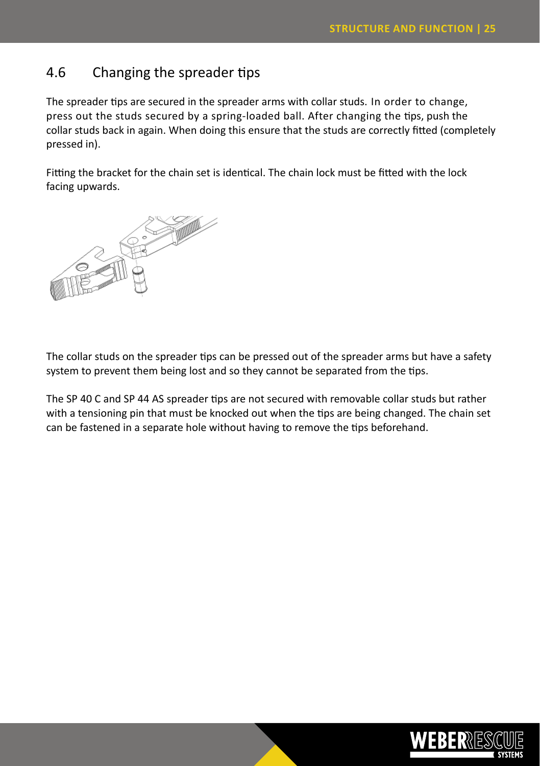# 4.6 Changing the spreader tips

The spreader tips are secured in the spreader arms with collar studs. In order to change, press out the studs secured by a spring-loaded ball. After changing the tips, push the collar studs back in again. When doing this ensure that the studs are correctly fitted (completely pressed in).

Fitting the bracket for the chain set is identical. The chain lock must be fitted with the lock facing upwards.



The collar studs on the spreader tips can be pressed out of the spreader arms but have a safety system to prevent them being lost and so they cannot be separated from the tips.

The SP 40 C and SP 44 AS spreader tips are not secured with removable collar studs but rather with a tensioning pin that must be knocked out when the tips are being changed. The chain set can be fastened in a separate hole without having to remove the tips beforehand.

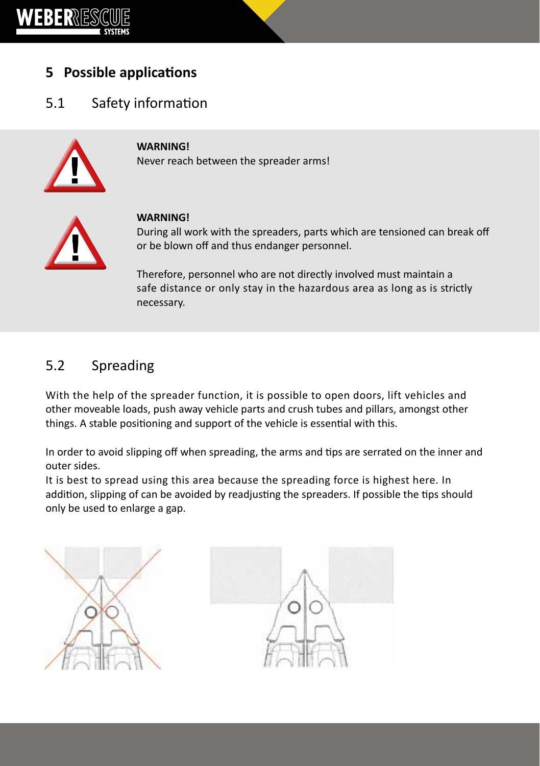

# **5 Possible applications**

# 5.1 Safety information



#### **WARNING!**

Never reach between the spreader arms!



#### **WARNING!**

During all work with the spreaders, parts which are tensioned can break off or be blown off and thus endanger personnel.

Therefore, personnel who are not directly involved must maintain a safe distance or only stay in the hazardous area as long as is strictly necessary.

### 5.2 Spreading

With the help of the spreader function, it is possible to open doors, lift vehicles and other moveable loads, push away vehicle parts and crush tubes and pillars, amongst other things. A stable positioning and support of the vehicle is essential with this.

In order to avoid slipping off when spreading, the arms and tips are serrated on the inner and outer sides.

It is best to spread using this area because the spreading force is highest here. In addition, slipping of can be avoided by readjusting the spreaders. If possible the tips should only be used to enlarge a gap.



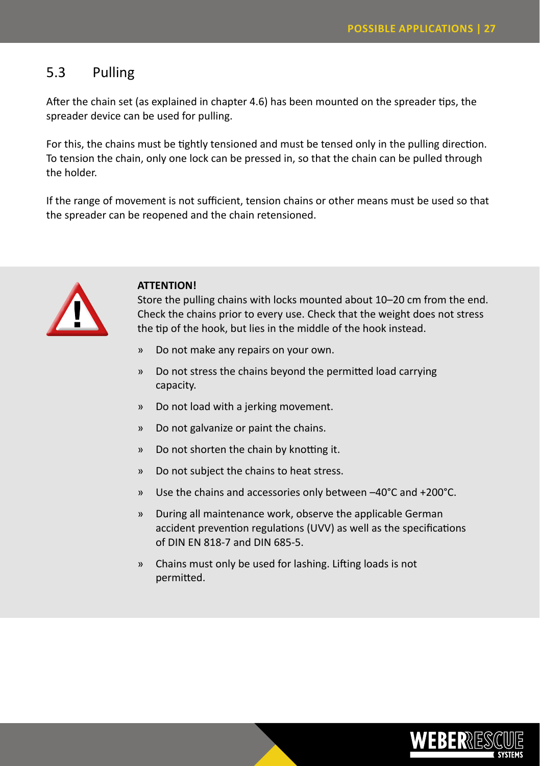### 5.3 Pulling

After the chain set (as explained in chapter 4.6) has been mounted on the spreader tips, the spreader device can be used for pulling.

For this, the chains must be tightly tensioned and must be tensed only in the pulling direction. To tension the chain, only one lock can be pressed in, so that the chain can be pulled through the holder.

If the range of movement is not sufficient, tension chains or other means must be used so that the spreader can be reopened and the chain retensioned.



#### **ATTENTION!**

Store the pulling chains with locks mounted about 10–20 cm from the end. Check the chains prior to every use. Check that the weight does not stress the tip of the hook, but lies in the middle of the hook instead.

- » Do not make any repairs on your own.
- » Do not stress the chains beyond the permitted load carrying capacity.
- » Do not load with a jerking movement.
- » Do not galvanize or paint the chains.
- » Do not shorten the chain by knotting it.
- » Do not subject the chains to heat stress.
- » Use the chains and accessories only between –40°C and +200°C.
- » During all maintenance work, observe the applicable German accident prevention regulations (UVV) as well as the specifications of DIN EN 818-7 and DIN 685-5.
- » Chains must only be used for lashing. Lifting loads is not permitted.

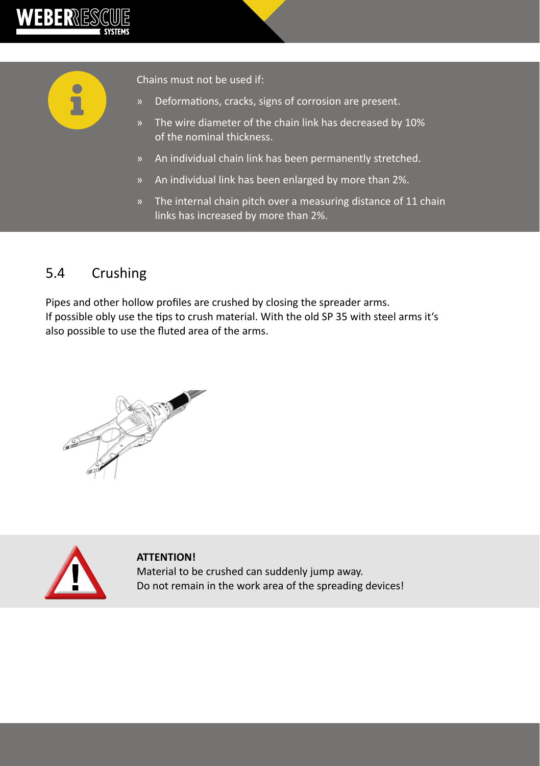



Chains must not be used if:

- » Deformations, cracks, signs of corrosion are present.
- » The wire diameter of the chain link has decreased by 10% of the nominal thickness.
- » An individual chain link has been permanently stretched.
- » An individual link has been enlarged by more than 2%.
- » The internal chain pitch over a measuring distance of 11 chain links has increased by more than 2%.

### 5.4 Crushing

Pipes and other hollow profiles are crushed by closing the spreader arms. If possible obly use the tips to crush material. With the old SP 35 with steel arms it's also possible to use the fluted area of the arms.





**ATTENTION!** Material to be crushed can suddenly jump away. Do not remain in the work area of the spreading devices!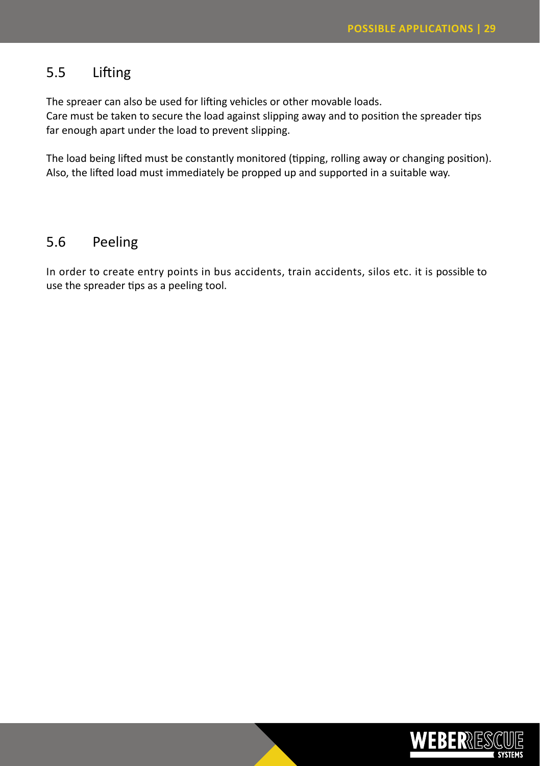### 5.5 Lifting

The spreaer can also be used for lifting vehicles or other movable loads.

Care must be taken to secure the load against slipping away and to position the spreader tips far enough apart under the load to prevent slipping.

The load being lifted must be constantly monitored (tipping, rolling away or changing position). Also, the lifted load must immediately be propped up and supported in a suitable way.

### 5.6 Peeling

In order to create entry points in bus accidents, train accidents, silos etc. it is possible to use the spreader tips as a peeling tool.

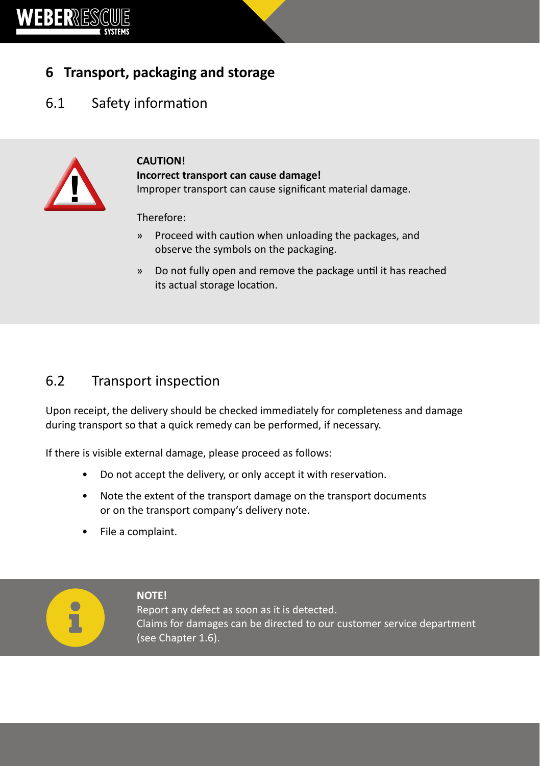

# **6 Transport, packaging and storage**

# 6.1 Safety information



#### **CAUTION! Incorrect transport can cause damage!** Improper transport can cause significant material damage.

Therefore:

- » Proceed with caution when unloading the packages, and observe the symbols on the packaging.
- » Do not fully open and remove the package until it has reached its actual storage location.

### 6.2 Transport inspection

Upon receipt, the delivery should be checked immediately for completeness and damage during transport so that a quick remedy can be performed, if necessary.

If there is visible external damage, please proceed as follows:

- Do not accept the delivery, or only accept it with reservation.
- Note the extent of the transport damage on the transport documents or on the transport company's delivery note.
- File a complaint.



#### **NOTE!**

Report any defect as soon as it is detected. Claims for damages can be directed to our customer service department (see Chapter 1.6).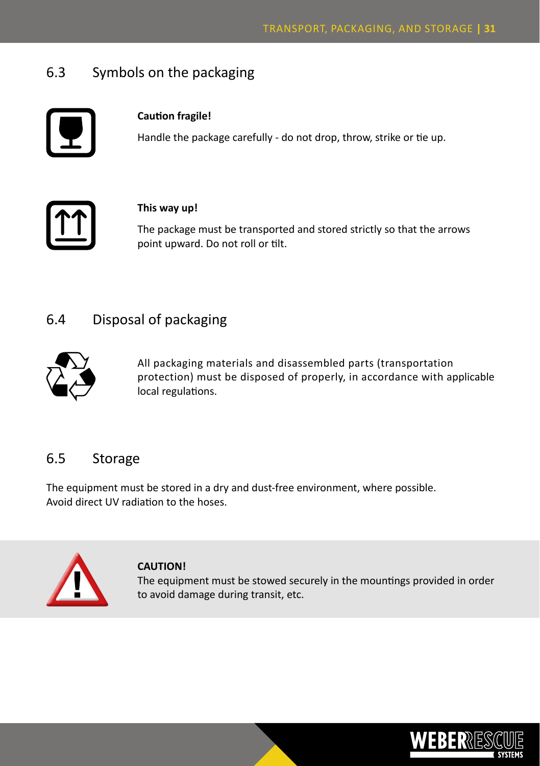### 6.3 Symbols on the packaging



#### **Caution fragile!**

Handle the package carefully - do not drop, throw, strike or tie up.



#### **This way up!**

The package must be transported and stored strictly so that the arrows point upward. Do not roll or tilt.

### 6.4 Disposal of packaging



All packaging materials and disassembled parts (transportation protection) must be disposed of properly, in accordance with applicable local regulations.

### 6.5 Storage

The equipment must be stored in a dry and dust-free environment, where possible. Avoid direct UV radiation to the hoses.



#### **CAUTION!**

The equipment must be stowed securely in the mountings provided in order to avoid damage during transit, etc.

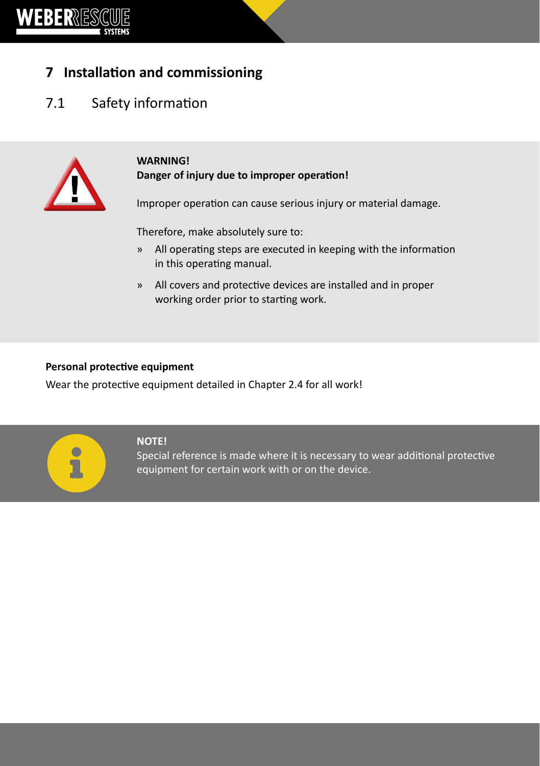

# **7 Installation and commissioning**

# 7.1 Safety information



#### **WARNING! Danger of injury due to improper operation!**

Improper operation can cause serious injury or material damage.

Therefore, make absolutely sure to:

- » All operating steps are executed in keeping with the information in this operating manual.
- » All covers and protective devices are installed and in proper working order prior to starting work.

#### **Personal protective equipment**

Wear the protective equipment detailed in Chapter 2.4 for all work!



#### **NOTE!**

Special reference is made where it is necessary to wear additional protective equipment for certain work with or on the device.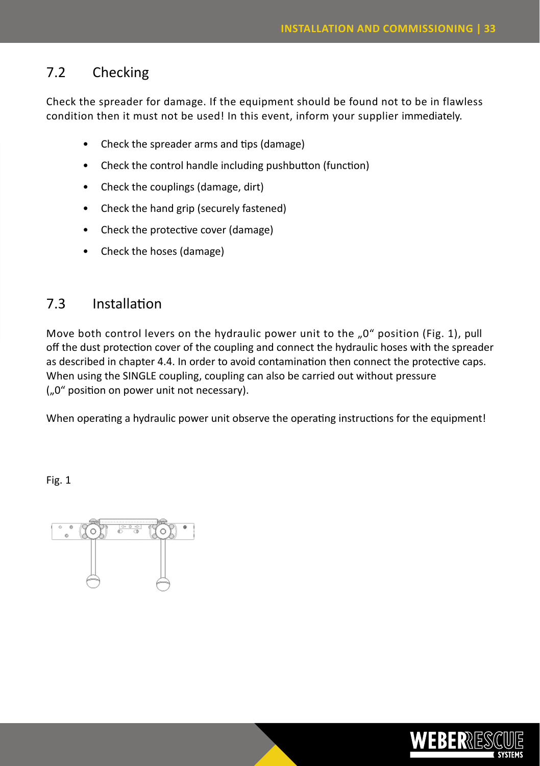# 7.2 Checking

Check the spreader for damage. If the equipment should be found not to be in flawless condition then it must not be used! In this event, inform your supplier immediately.

- Check the spreader arms and tips (damage)
- Check the control handle including pushbutton (function)
- Check the couplings (damage, dirt)
- Check the hand grip (securely fastened)
- Check the protective cover (damage)
- Check the hoses (damage)

### 7.3 Installation

Move both control levers on the hydraulic power unit to the ..0" position (Fig. 1), pull off the dust protection cover of the coupling and connect the hydraulic hoses with the spreader as described in chapter 4.4. In order to avoid contamination then connect the protective caps. When using the SINGLE coupling, coupling can also be carried out without pressure ("0" position on power unit not necessary).

When operating a hydraulic power unit observe the operating instructions for the equipment!

Fig. 1



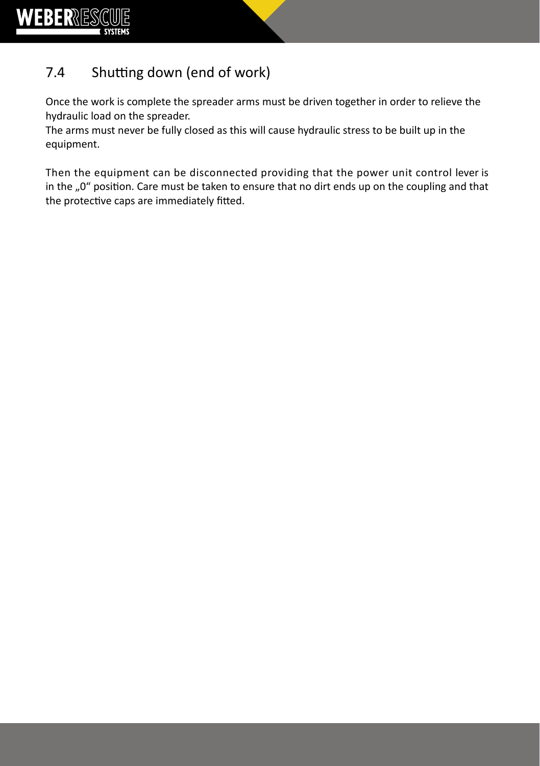

# 7.4 Shutting down (end of work)

Once the work is complete the spreader arms must be driven together in order to relieve the hydraulic load on the spreader.

The arms must never be fully closed as this will cause hydraulic stress to be built up in the equipment.

Then the equipment can be disconnected providing that the power unit control lever is in the "0" position. Care must be taken to ensure that no dirt ends up on the coupling and that the protective caps are immediately fitted.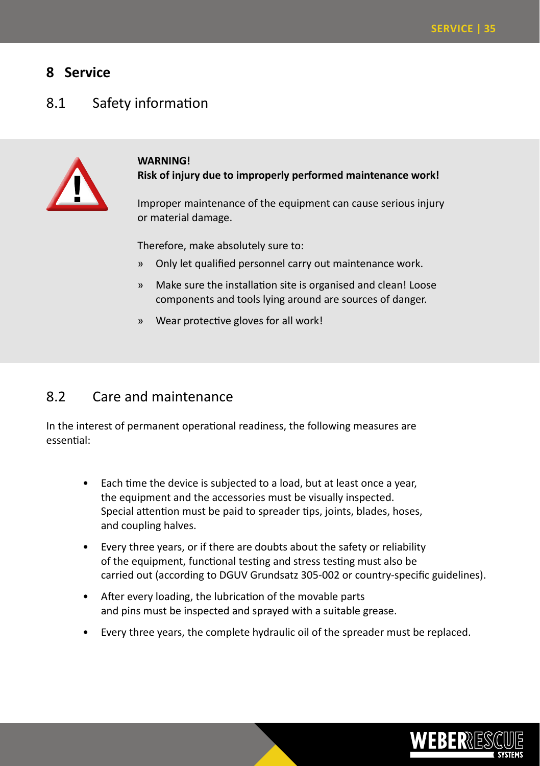### **8 Service**

### 8.1 Safety information



#### **WARNING! Risk of injury due to improperly performed maintenance work!**

Improper maintenance of the equipment can cause serious injury or material damage.

Therefore, make absolutely sure to:

- » Only let qualified personnel carry out maintenance work.
- » Make sure the installation site is organised and clean! Loose components and tools lying around are sources of danger.
- » Wear protective gloves for all work!

### 8.2 Care and maintenance

In the interest of permanent operational readiness, the following measures are essential:

- Each time the device is subjected to a load, but at least once a year, the equipment and the accessories must be visually inspected. Special attention must be paid to spreader tips, joints, blades, hoses, and coupling halves.
- Every three years, or if there are doubts about the safety or reliability of the equipment, functional testing and stress testing must also be carried out (according to DGUV Grundsatz 305-002 or country-specific guidelines).
- After every loading, the lubrication of the movable parts and pins must be inspected and sprayed with a suitable grease.
- Every three years, the complete hydraulic oil of the spreader must be replaced.

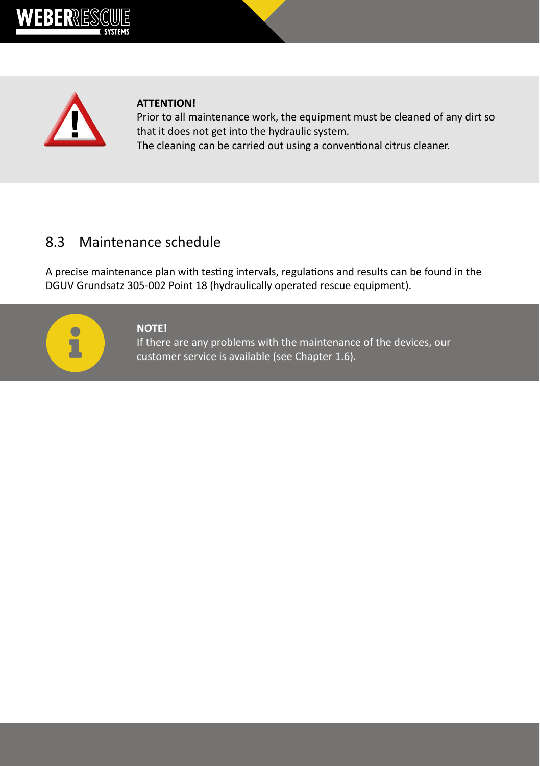



#### **ATTENTION!**

Prior to all maintenance work, the equipment must be cleaned of any dirt so that it does not get into the hydraulic system. The cleaning can be carried out using a conventional citrus cleaner.

### 8.3 Maintenance schedule

A precise maintenance plan with testing intervals, regulations and results can be found in the DGUV Grundsatz 305-002 Point 18 (hydraulically operated rescue equipment).



#### **NOTE!**

If there are any problems with the maintenance of the devices, our customer service is available (see Chapter 1.6).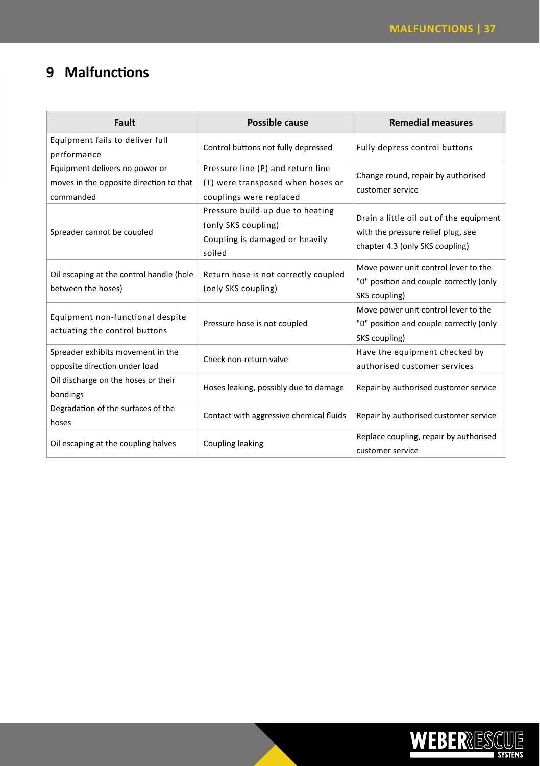# **9 Malfunctions**

| Fault                                                                                  | Possible cause                                                                                      | <b>Remedial measures</b>                                                                                         |
|----------------------------------------------------------------------------------------|-----------------------------------------------------------------------------------------------------|------------------------------------------------------------------------------------------------------------------|
| Equipment fails to deliver full<br>performance                                         | Control buttons not fully depressed                                                                 | Fully depress control buttons                                                                                    |
| Equipment delivers no power or<br>moves in the opposite direction to that<br>commanded | Pressure line (P) and return line<br>(T) were transposed when hoses or<br>couplings were replaced   | Change round, repair by authorised<br>customer service                                                           |
| Spreader cannot be coupled                                                             | Pressure build-up due to heating<br>(only SKS coupling)<br>Coupling is damaged or heavily<br>soiled | Drain a little oil out of the equipment<br>with the pressure relief plug, see<br>chapter 4.3 (only SKS coupling) |
| Oil escaping at the control handle (hole<br>between the hoses)                         | Return hose is not correctly coupled<br>(only SKS coupling)                                         | Move power unit control lever to the<br>"0" position and couple correctly (only<br>SKS coupling)                 |
| Equipment non-functional despite<br>actuating the control buttons                      | Pressure hose is not coupled                                                                        | Move power unit control lever to the<br>"0" position and couple correctly (only<br>SKS coupling)                 |
| Spreader exhibits movement in the<br>opposite direction under load                     | Check non-return valve                                                                              | Have the equipment checked by<br>authorised customer services                                                    |
| Oil discharge on the hoses or their<br>bondings                                        | Hoses leaking, possibly due to damage                                                               | Repair by authorised customer service                                                                            |
| Degradation of the surfaces of the<br>hoses                                            | Contact with aggressive chemical fluids                                                             | Repair by authorised customer service                                                                            |
| Oil escaping at the coupling halves                                                    | <b>Coupling leaking</b>                                                                             | Replace coupling, repair by authorised<br>customer service                                                       |

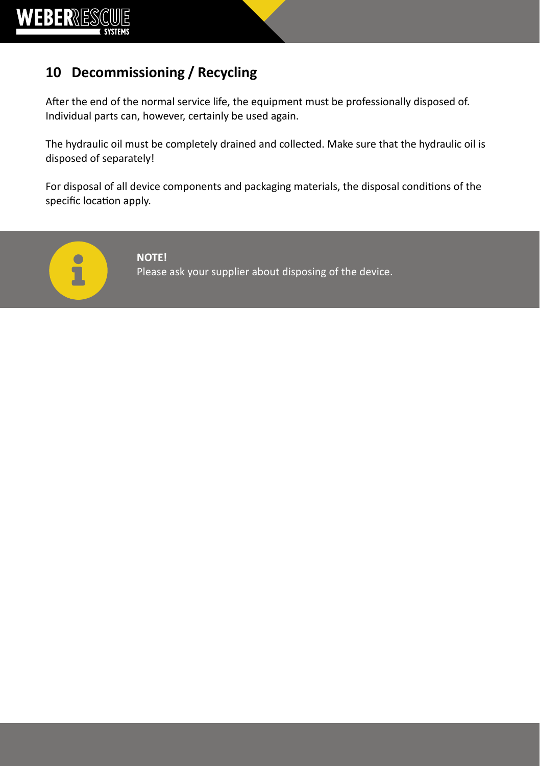

# **10 Decommissioning / Recycling**

After the end of the normal service life, the equipment must be professionally disposed of. Individual parts can, however, certainly be used again.

The hydraulic oil must be completely drained and collected. Make sure that the hydraulic oil is disposed of separately!

For disposal of all device components and packaging materials, the disposal conditions of the specific location apply.



**NOTE!** Please ask your supplier about disposing of the device.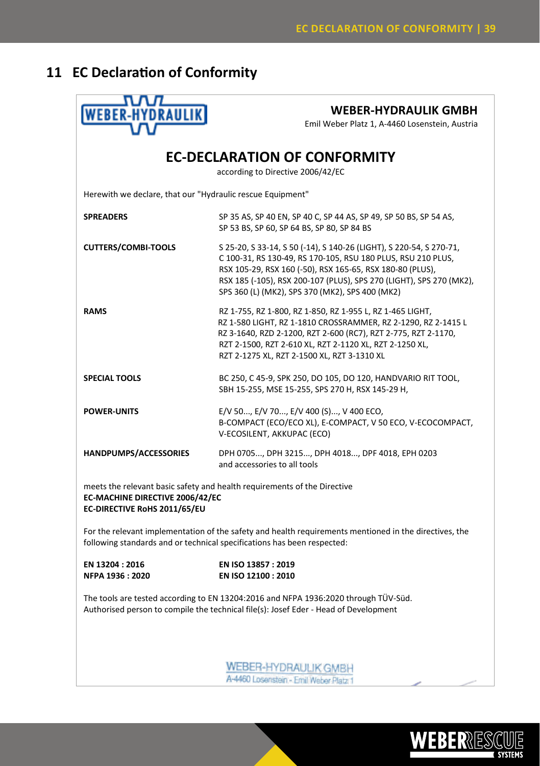# **11 EC Declaration of Conformity**

| <b>WEBER-HYDRAULIK</b>                                                                                                                                                            | <b>WEBER-HYDRAULIK GMBH</b><br>Emil Weber Platz 1, A-4460 Losenstein, Austria                                                                                                                                                                                                                                              |  |  |  |
|-----------------------------------------------------------------------------------------------------------------------------------------------------------------------------------|----------------------------------------------------------------------------------------------------------------------------------------------------------------------------------------------------------------------------------------------------------------------------------------------------------------------------|--|--|--|
|                                                                                                                                                                                   | <b>EC-DECLARATION OF CONFORMITY</b><br>according to Directive 2006/42/EC                                                                                                                                                                                                                                                   |  |  |  |
| Herewith we declare, that our "Hydraulic rescue Equipment"                                                                                                                        |                                                                                                                                                                                                                                                                                                                            |  |  |  |
| <b>SPREADERS</b>                                                                                                                                                                  | SP 35 AS, SP 40 EN, SP 40 C, SP 44 AS, SP 49, SP 50 BS, SP 54 AS,<br>SP 53 BS, SP 60, SP 64 BS, SP 80, SP 84 BS                                                                                                                                                                                                            |  |  |  |
| <b>CUTTERS/COMBI-TOOLS</b>                                                                                                                                                        | S 25-20, S 33-14, S 50 (-14), S 140-26 (LIGHT), S 220-54, S 270-71,<br>C 100-31, RS 130-49, RS 170-105, RSU 180 PLUS, RSU 210 PLUS,<br>RSX 105-29, RSX 160 (-50), RSX 165-65, RSX 180-80 (PLUS),<br>RSX 185 (-105), RSX 200-107 (PLUS), SPS 270 (LIGHT), SPS 270 (MK2),<br>SPS 360 (L) (MK2), SPS 370 (MK2), SPS 400 (MK2) |  |  |  |
| <b>RAMS</b>                                                                                                                                                                       | RZ 1-755, RZ 1-800, RZ 1-850, RZ 1-955 L, RZ 1-465 LIGHT,<br>RZ 1-580 LIGHT, RZ 1-1810 CROSSRAMMER, RZ 2-1290, RZ 2-1415 L<br>RZ 3-1640, RZD 2-1200, RZT 2-600 (RC7), RZT 2-775, RZT 2-1170,<br>RZT 2-1500, RZT 2-610 XL, RZT 2-1120 XL, RZT 2-1250 XL,<br>RZT 2-1275 XL, RZT 2-1500 XL, RZT 3-1310 XL                     |  |  |  |
| <b>SPECIAL TOOLS</b>                                                                                                                                                              | BC 250, C 45-9, SPK 250, DO 105, DO 120, HANDVARIO RIT TOOL,<br>SBH 15-255, MSE 15-255, SPS 270 H, RSX 145-29 H,                                                                                                                                                                                                           |  |  |  |
| <b>POWER-UNITS</b>                                                                                                                                                                | E/V 50, E/V 70, E/V 400 (S), V 400 ECO,<br>B-COMPACT (ECO/ECO XL), E-COMPACT, V 50 ECO, V-ECOCOMPACT,<br>V-ECOSILENT, AKKUPAC (ECO)                                                                                                                                                                                        |  |  |  |
| HANDPUMPS/ACCESSORIES                                                                                                                                                             | DPH 0705, DPH 3215, DPH 4018, DPF 4018, EPH 0203<br>and accessories to all tools                                                                                                                                                                                                                                           |  |  |  |
| meets the relevant basic safety and health requirements of the Directive<br>EC-MACHINE DIRECTIVE 2006/42/EC<br>EC-DIRECTIVE RoHS 2011/65/EU                                       |                                                                                                                                                                                                                                                                                                                            |  |  |  |
| For the relevant implementation of the safety and health requirements mentioned in the directives, the<br>following standards and or technical specifications has been respected: |                                                                                                                                                                                                                                                                                                                            |  |  |  |
| EN 13204 : 2016<br>NFPA 1936: 2020                                                                                                                                                | EN ISO 13857: 2019<br>EN ISO 12100 : 2010                                                                                                                                                                                                                                                                                  |  |  |  |
| The tools are tested according to EN 13204:2016 and NFPA 1936:2020 through TÜV-Süd.<br>Authorised person to compile the technical file(s): Josef Eder - Head of Development       |                                                                                                                                                                                                                                                                                                                            |  |  |  |
|                                                                                                                                                                                   | WEBER-HYDRAULIK GMBH<br>A-4460 Losenstein - Emil Weber Platz 1                                                                                                                                                                                                                                                             |  |  |  |

i.A. Hannes Buchner i. A. Josef Eder